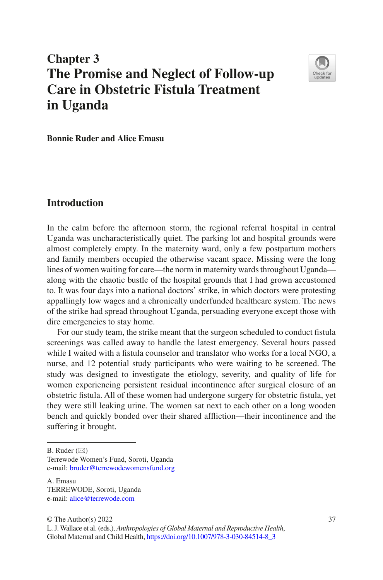# **Chapter 3 The Promise and Neglect of Follow-up Care in Obstetric Fistula Treatment in Uganda**



**Bonnie Ruder and Alice Emasu**

#### **Introduction**

In the calm before the afternoon storm, the regional referral hospital in central Uganda was uncharacteristically quiet. The parking lot and hospital grounds were almost completely empty. In the maternity ward, only a few postpartum mothers and family members occupied the otherwise vacant space. Missing were the long lines of women waiting for care—the norm in maternity wards throughout Uganda along with the chaotic bustle of the hospital grounds that I had grown accustomed to. It was four days into a national doctors' strike, in which doctors were protesting appallingly low wages and a chronically underfunded healthcare system. The news of the strike had spread throughout Uganda, persuading everyone except those with dire emergencies to stay home.

For our study team, the strike meant that the surgeon scheduled to conduct fstula screenings was called away to handle the latest emergency. Several hours passed while I waited with a fstula counselor and translator who works for a local NGO, a nurse, and 12 potential study participants who were waiting to be screened. The study was designed to investigate the etiology, severity, and quality of life for women experiencing persistent residual incontinence after surgical closure of an obstetric fstula. All of these women had undergone surgery for obstetric fstula, yet they were still leaking urine. The women sat next to each other on a long wooden bench and quickly bonded over their shared affiction—their incontinence and the suffering it brought.

B. Ruder  $(\boxtimes)$ 

Terrewode Women's Fund, Soroti, Uganda e-mail: [bruder@terrewodewomensfund.org](mailto:bruder@terrewodewomensfund.org)

A. Emasu TERREWODE, Soroti, Uganda e-mail: [alice@terrewode.com](mailto:alice@terrewode.com)

 $\odot$  The Author(s) 2022  $\ddot{\text{37}}$ 

L. J. Wallace et al. (eds.), *Anthropologies of Global Maternal and Reproductive Health*, Global Maternal and Child Health, [https://doi.org/10.1007/978-3-030-84514-8\\_3](https://doi.org/10.1007/978-3-030-84514-8_3#DOI)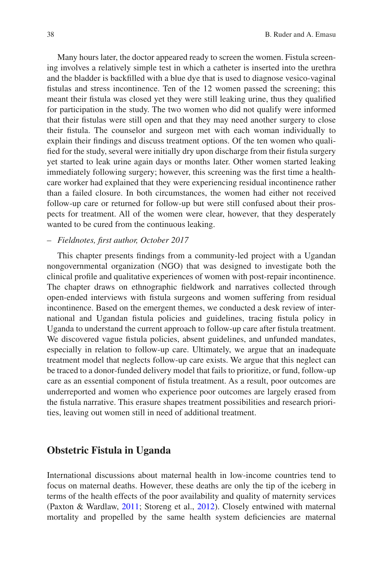Many hours later, the doctor appeared ready to screen the women. Fistula screening involves a relatively simple test in which a catheter is inserted into the urethra and the bladder is backflled with a blue dye that is used to diagnose vesico-vaginal fstulas and stress incontinence. Ten of the 12 women passed the screening; this meant their fstula was closed yet they were still leaking urine, thus they qualifed for participation in the study. The two women who did not qualify were informed that their fstulas were still open and that they may need another surgery to close their fstula. The counselor and surgeon met with each woman individually to explain their fndings and discuss treatment options. Of the ten women who qualifed for the study, several were initially dry upon discharge from their fstula surgery yet started to leak urine again days or months later. Other women started leaking immediately following surgery; however, this screening was the frst time a healthcare worker had explained that they were experiencing residual incontinence rather than a failed closure. In both circumstances, the women had either not received follow-up care or returned for follow-up but were still confused about their prospects for treatment. All of the women were clear, however, that they desperately wanted to be cured from the continuous leaking.

#### – *Fieldnotes, frst author, October 2017*

This chapter presents fndings from a community-led project with a Ugandan nongovernmental organization (NGO) that was designed to investigate both the clinical profle and qualitative experiences of women with post-repair incontinence. The chapter draws on ethnographic feldwork and narratives collected through open-ended interviews with fstula surgeons and women suffering from residual incontinence. Based on the emergent themes, we conducted a desk review of international and Ugandan fstula policies and guidelines, tracing fstula policy in Uganda to understand the current approach to follow-up care after fstula treatment. We discovered vague fstula policies, absent guidelines, and unfunded mandates, especially in relation to follow-up care. Ultimately, we argue that an inadequate treatment model that neglects follow-up care exists. We argue that this neglect can be traced to a donor-funded delivery model that fails to prioritize, or fund, follow-up care as an essential component of fstula treatment. As a result, poor outcomes are underreported and women who experience poor outcomes are largely erased from the fstula narrative. This erasure shapes treatment possibilities and research priorities, leaving out women still in need of additional treatment.

#### **Obstetric Fistula in Uganda**

International discussions about maternal health in low-income countries tend to focus on maternal deaths. However, these deaths are only the tip of the iceberg in terms of the health effects of the poor availability and quality of maternity services (Paxton & Wardlaw, [2011;](#page-17-0) Storeng et al., [2012](#page-18-0)). Closely entwined with maternal mortality and propelled by the same health system defciencies are maternal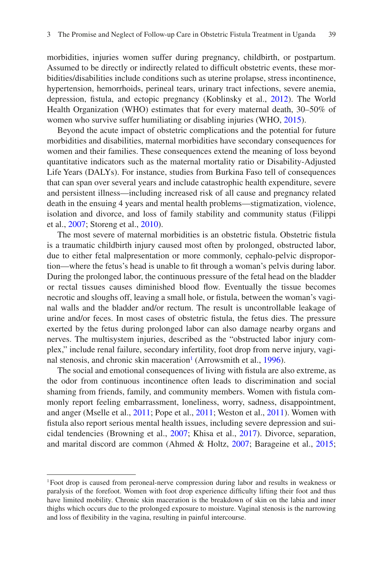morbidities, injuries women suffer during pregnancy, childbirth, or postpartum. Assumed to be directly or indirectly related to diffcult obstetric events, these morbidities/disabilities include conditions such as uterine prolapse, stress incontinence, hypertension, hemorrhoids, perineal tears, urinary tract infections, severe anemia, depression, fstula, and ectopic pregnancy (Koblinsky et al., [2012\)](#page-16-0). The World Health Organization (WHO) estimates that for every maternal death, 30–50% of women who survive suffer humiliating or disabling injuries (WHO, [2015\)](#page-18-1).

Beyond the acute impact of obstetric complications and the potential for future morbidities and disabilities, maternal morbidities have secondary consequences for women and their families. These consequences extend the meaning of loss beyond quantitative indicators such as the maternal mortality ratio or Disability-Adjusted Life Years (DALYs). For instance, studies from Burkina Faso tell of consequences that can span over several years and include catastrophic health expenditure, severe and persistent illness—including increased risk of all cause and pregnancy related death in the ensuing 4 years and mental health problems—stigmatization, violence, isolation and divorce, and loss of family stability and community status (Filippi et al., [2007](#page-16-1); Storeng et al., [2010\)](#page-17-1).

The most severe of maternal morbidities is an obstetric fistula. Obstetric fistula is a traumatic childbirth injury caused most often by prolonged, obstructed labor, due to either fetal malpresentation or more commonly, cephalo-pelvic disproportion—where the fetus's head is unable to ft through a woman's pelvis during labor. During the prolonged labor, the continuous pressure of the fetal head on the bladder or rectal tissues causes diminished blood fow. Eventually the tissue becomes necrotic and sloughs off, leaving a small hole, or fstula, between the woman's vaginal walls and the bladder and/or rectum. The result is uncontrollable leakage of urine and/or feces. In most cases of obstetric fstula, the fetus dies. The pressure exerted by the fetus during prolonged labor can also damage nearby organs and nerves. The multisystem injuries, described as the "obstructed labor injury complex," include renal failure, secondary infertility, foot drop from nerve injury, vagi-nal stenosis, and chronic skin maceration<sup>1</sup> (Arrowsmith et al., [1996](#page-15-0)).

The social and emotional consequences of living with fstula are also extreme, as the odor from continuous incontinence often leads to discrimination and social shaming from friends, family, and community members. Women with fstula commonly report feeling embarrassment, loneliness, worry, sadness, disappointment, and anger (Mselle et al., [2011;](#page-17-2) Pope et al., [2011;](#page-17-3) Weston et al., [2011](#page-18-2)). Women with fstula also report serious mental health issues, including severe depression and suicidal tendencies (Browning et al., [2007](#page-15-1); Khisa et al., [2017\)](#page-16-2). Divorce, separation, and marital discord are common (Ahmed & Holtz, [2007](#page-15-2); Barageine et al., [2015;](#page-15-3)

<span id="page-2-0"></span><sup>1</sup>Foot drop is caused from peroneal-nerve compression during labor and results in weakness or paralysis of the forefoot. Women with foot drop experience diffculty lifting their foot and thus have limited mobility. Chronic skin maceration is the breakdown of skin on the labia and inner thighs which occurs due to the prolonged exposure to moisture. Vaginal stenosis is the narrowing and loss of fexibility in the vagina, resulting in painful intercourse.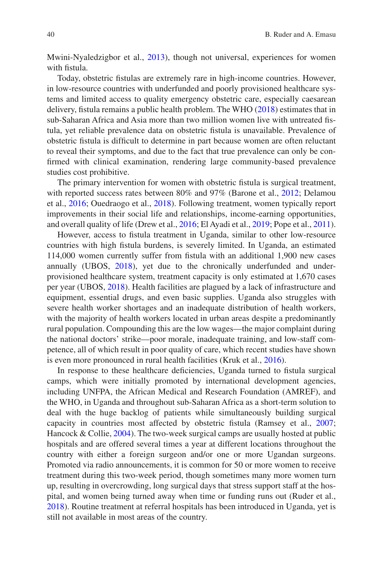Mwini-Nyaledzigbor et al., [2013](#page-17-4)), though not universal, experiences for women with fistula.

Today, obstetric fstulas are extremely rare in high-income countries. However, in low-resource countries with underfunded and poorly provisioned healthcare systems and limited access to quality emergency obstetric care, especially caesarean delivery, fstula remains a public health problem. The WHO ([2018\)](#page-18-3) estimates that in sub-Saharan Africa and Asia more than two million women live with untreated fstula, yet reliable prevalence data on obstetric fstula is unavailable. Prevalence of obstetric fstula is diffcult to determine in part because women are often reluctant to reveal their symptoms, and due to the fact that true prevalence can only be confrmed with clinical examination, rendering large community-based prevalence studies cost prohibitive.

The primary intervention for women with obstetric fstula is surgical treatment, with reported success rates between 80% and 97% (Barone et al., [2012](#page-15-4); Delamou et al., [2016;](#page-15-5) Ouedraogo et al., [2018\)](#page-17-5). Following treatment, women typically report improvements in their social life and relationships, income-earning opportunities, and overall quality of life (Drew et al., [2016;](#page-16-3) El Ayadi et al., [2019;](#page-16-4) Pope et al., [2011\)](#page-17-3).

However, access to fstula treatment in Uganda, similar to other low-resource countries with high fstula burdens, is severely limited. In Uganda, an estimated 114,000 women currently suffer from fstula with an additional 1,900 new cases annually (UBOS, [2018](#page-18-4)), yet due to the chronically underfunded and underprovisioned healthcare system, treatment capacity is only estimated at 1,670 cases per year (UBOS, [2018](#page-18-4)). Health facilities are plagued by a lack of infrastructure and equipment, essential drugs, and even basic supplies. Uganda also struggles with severe health worker shortages and an inadequate distribution of health workers, with the majority of health workers located in urban areas despite a predominantly rural population. Compounding this are the low wages––the major complaint during the national doctors' strike––poor morale, inadequate training, and low-staff competence, all of which result in poor quality of care, which recent studies have shown is even more pronounced in rural health facilities (Kruk et al., [2016](#page-16-5)).

In response to these healthcare deficiencies, Uganda turned to fistula surgical camps, which were initially promoted by international development agencies, including UNFPA, the African Medical and Research Foundation (AMREF), and the WHO, in Uganda and throughout sub-Saharan Africa as a short-term solution to deal with the huge backlog of patients while simultaneously building surgical capacity in countries most affected by obstetric fstula (Ramsey et al., [2007;](#page-17-6) Hancock & Collie, [2004](#page-16-6)). The two-week surgical camps are usually hosted at public hospitals and are offered several times a year at different locations throughout the country with either a foreign surgeon and/or one or more Ugandan surgeons. Promoted via radio announcements, it is common for 50 or more women to receive treatment during this two-week period, though sometimes many more women turn up, resulting in overcrowding, long surgical days that stress support staff at the hospital, and women being turned away when time or funding runs out (Ruder et al., [2018\)](#page-17-7). Routine treatment at referral hospitals has been introduced in Uganda, yet is still not available in most areas of the country.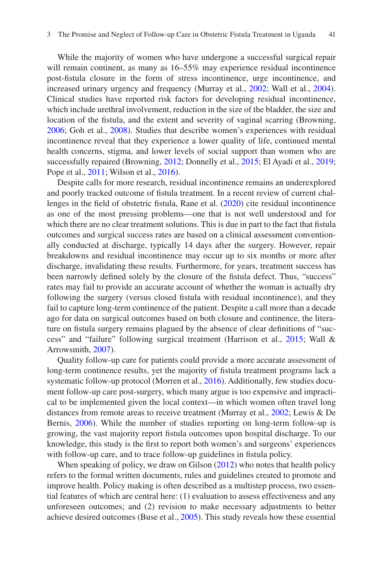While the majority of women who have undergone a successful surgical repair will remain continent, as many as  $16-55\%$  may experience residual incontinence post-fstula closure in the form of stress incontinence, urge incontinence, and increased urinary urgency and frequency (Murray et al., [2002;](#page-17-8) Wall et al., [2004\)](#page-18-5). Clinical studies have reported risk factors for developing residual incontinence, which include urethral involvement, reduction in the size of the bladder, the size and location of the fstula, and the extent and severity of vaginal scarring (Browning, [2006;](#page-15-6) Goh et al., [2008](#page-16-7)). Studies that describe women's experiences with residual incontinence reveal that they experience a lower quality of life, continued mental health concerns, stigma, and lower levels of social support than women who are successfully repaired (Browning, [2012](#page-15-7); Donnelly et al., [2015;](#page-15-8) El Ayadi et al., [2019;](#page-16-4) Pope et al., [2011;](#page-17-3) Wilson et al., [2016](#page-18-6)).

Despite calls for more research, residual incontinence remains an underexplored and poorly tracked outcome of fstula treatment. In a recent review of current challenges in the feld of obstetric fstula, Rane et al. [\(2020](#page-17-9)) cite residual incontinence as one of the most pressing problems—one that is not well understood and for which there are no clear treatment solutions. This is due in part to the fact that fistula outcomes and surgical success rates are based on a clinical assessment conventionally conducted at discharge, typically 14 days after the surgery. However, repair breakdowns and residual incontinence may occur up to six months or more after discharge, invalidating these results. Furthermore, for years, treatment success has been narrowly defned solely by the closure of the fstula defect. Thus, "success" rates may fail to provide an accurate account of whether the woman is actually dry following the surgery (versus closed fstula with residual incontinence), and they fail to capture long-term continence of the patient. Despite a call more than a decade ago for data on surgical outcomes based on both closure and continence, the literature on fstula surgery remains plagued by the absence of clear defnitions of "success" and "failure" following surgical treatment (Harrison et al., [2015](#page-16-8); Wall & Arrowsmith, [2007\)](#page-18-7).

Quality follow-up care for patients could provide a more accurate assessment of long-term continence results, yet the majority of fistula treatment programs lack a systematic follow-up protocol (Morren et al., [2016](#page-17-10)). Additionally, few studies document follow-up care post-surgery, which many argue is too expensive and impractical to be implemented given the local context—in which women often travel long distances from remote areas to receive treatment (Murray et al., [2002](#page-17-8); Lewis & De Bernis, [2006](#page-16-9)). While the number of studies reporting on long-term follow-up is growing, the vast majority report fstula outcomes upon hospital discharge. To our knowledge, this study is the frst to report both women's and surgeons' experiences with follow-up care, and to trace follow-up guidelines in fstula policy.

When speaking of policy, we draw on Gilson ([2012\)](#page-16-10) who notes that health policy refers to the formal written documents, rules and guidelines created to promote and improve health. Policy making is often described as a multistep process, two essential features of which are central here: (1) evaluation to assess effectiveness and any unforeseen outcomes; and (2) revision to make necessary adjustments to better achieve desired outcomes (Buse et al., [2005](#page-15-9)). This study reveals how these essential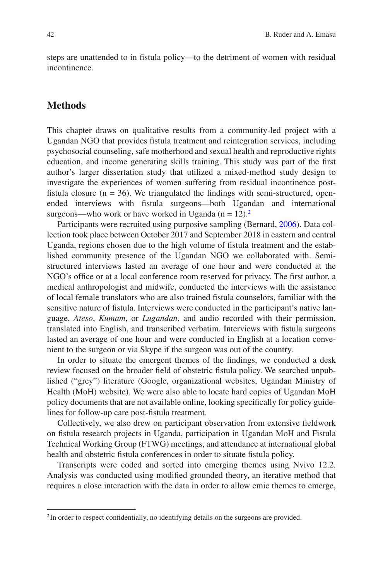steps are unattended to in fstula policy—to the detriment of women with residual incontinence.

#### **Methods**

This chapter draws on qualitative results from a community-led project with a Ugandan NGO that provides fstula treatment and reintegration services, including psychosocial counseling, safe motherhood and sexual health and reproductive rights education, and income generating skills training. This study was part of the frst author's larger dissertation study that utilized a mixed-method study design to investigate the experiences of women suffering from residual incontinence postfistula closure ( $n = 36$ ). We triangulated the findings with semi-structured, openended interviews with fstula surgeons—both Ugandan and international surgeons—who work or have worked in Uganda ( $n = 12$  $n = 12$ ).<sup>2</sup>

Participants were recruited using purposive sampling (Bernard, [2006](#page-15-10)). Data collection took place between October 2017 and September 2018 in eastern and central Uganda, regions chosen due to the high volume of fstula treatment and the established community presence of the Ugandan NGO we collaborated with. Semistructured interviews lasted an average of one hour and were conducted at the NGO's office or at a local conference room reserved for privacy. The first author, a medical anthropologist and midwife, conducted the interviews with the assistance of local female translators who are also trained fstula counselors, familiar with the sensitive nature of fstula. Interviews were conducted in the participant's native language, *Ateso*, *Kumam*, or *Lugandan*, and audio recorded with their permission, translated into English, and transcribed verbatim. Interviews with fstula surgeons lasted an average of one hour and were conducted in English at a location convenient to the surgeon or via Skype if the surgeon was out of the country.

In order to situate the emergent themes of the fndings, we conducted a desk review focused on the broader feld of obstetric fstula policy. We searched unpublished ("grey") literature (Google, organizational websites, Ugandan Ministry of Health (MoH) website). We were also able to locate hard copies of Ugandan MoH policy documents that are not available online, looking specifcally for policy guidelines for follow-up care post-fstula treatment.

Collectively, we also drew on participant observation from extensive feldwork on fstula research projects in Uganda, participation in Ugandan MoH and Fistula Technical Working Group (FTWG) meetings, and attendance at international global health and obstetric fstula conferences in order to situate fstula policy.

Transcripts were coded and sorted into emerging themes using Nvivo 12.2. Analysis was conducted using modifed grounded theory, an iterative method that requires a close interaction with the data in order to allow emic themes to emerge,

<span id="page-5-0"></span><sup>&</sup>lt;sup>2</sup> In order to respect confidentially, no identifying details on the surgeons are provided.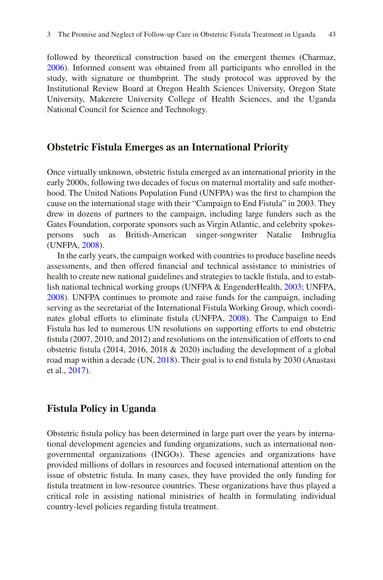followed by theoretical construction based on the emergent themes (Charmaz, [2006\)](#page-15-11). Informed consent was obtained from all participants who enrolled in the study, with signature or thumbprint. The study protocol was approved by the Institutional Review Board at Oregon Health Sciences University, Oregon State University, Makerere University College of Health Sciences, and the Uganda National Council for Science and Technology.

## **Obstetric Fistula Emerges as an International Priority**

Once virtually unknown, obstetric fstula emerged as an international priority in the early 2000s, following two decades of focus on maternal mortality and safe motherhood. The United Nations Population Fund (UNFPA) was the frst to champion the cause on the international stage with their "Campaign to End Fistula" in 2003. They drew in dozens of partners to the campaign, including large funders such as the Gates Foundation, corporate sponsors such as Virgin Atlantic, and celebrity spokespersons such as British-American singer-songwriter Natalie Imbruglia (UNFPA, [2008](#page-18-8)).

In the early years, the campaign worked with countries to produce baseline needs assessments, and then offered fnancial and technical assistance to ministries of health to create new national guidelines and strategies to tackle fstula, and to establish national technical working groups (UNFPA & EngenderHealth, [2003](#page-18-9); UNFPA, [2008\)](#page-18-8). UNFPA continues to promote and raise funds for the campaign, including serving as the secretariat of the International Fistula Working Group, which coordinates global efforts to eliminate fstula (UNFPA, [2008](#page-18-8)). The Campaign to End Fistula has led to numerous UN resolutions on supporting efforts to end obstetric fstula (2007, 2010, and 2012) and resolutions on the intensifcation of efforts to end obstetric fistula (2014, 2016, 2018  $& 2020$ ) including the development of a global road map within a decade (UN, [2018](#page-18-10)). Their goal is to end fistula by 2030 (Anastasi et al., [2017](#page-15-12)).

## **Fistula Policy in Uganda**

Obstetric fstula policy has been determined in large part over the years by international development agencies and funding organizations, such as international nongovernmental organizations (INGOs). These agencies and organizations have provided millions of dollars in resources and focused international attention on the issue of obstetric fstula. In many cases, they have provided the only funding for fstula treatment in low-resource countries. These organizations have thus played a critical role in assisting national ministries of health in formulating individual country-level policies regarding fstula treatment.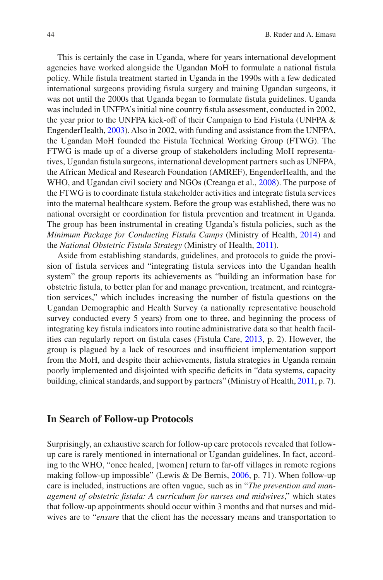This is certainly the case in Uganda, where for years international development agencies have worked alongside the Ugandan MoH to formulate a national fstula policy. While fstula treatment started in Uganda in the 1990s with a few dedicated international surgeons providing fstula surgery and training Ugandan surgeons, it was not until the 2000s that Uganda began to formulate fstula guidelines. Uganda was included in UNFPA's initial nine country fstula assessment, conducted in 2002, the year prior to the UNFPA kick-off of their Campaign to End Fistula (UNFPA & EngenderHealth, [2003](#page-18-9)). Also in 2002, with funding and assistance from the UNFPA, the Ugandan MoH founded the Fistula Technical Working Group (FTWG). The FTWG is made up of a diverse group of stakeholders including MoH representatives, Ugandan fstula surgeons, international development partners such as UNFPA, the African Medical and Research Foundation (AMREF), EngenderHealth, and the WHO, and Ugandan civil society and NGOs (Creanga et al., [2008](#page-15-13)). The purpose of the FTWG is to coordinate fstula stakeholder activities and integrate fstula services into the maternal healthcare system. Before the group was established, there was no national oversight or coordination for fstula prevention and treatment in Uganda. The group has been instrumental in creating Uganda's fstula policies, such as the *Minimum Package for Conducting Fistula Camps* (Ministry of Health, [2014](#page-17-11)) and the *National Obstetric Fistula Strategy* (Ministry of Health, [2011](#page-17-12)).

Aside from establishing standards, guidelines, and protocols to guide the provision of fstula services and "integrating fstula services into the Ugandan health system" the group reports its achievements as "building an information base for obstetric fstula, to better plan for and manage prevention, treatment, and reintegration services," which includes increasing the number of fstula questions on the Ugandan Demographic and Health Survey (a nationally representative household survey conducted every 5 years) from one to three, and beginning the process of integrating key fstula indicators into routine administrative data so that health facilities can regularly report on fstula cases (Fistula Care, [2013](#page-16-11), p. 2). However, the group is plagued by a lack of resources and insuffcient implementation support from the MoH, and despite their achievements, fstula strategies in Uganda remain poorly implemented and disjointed with specifc defcits in "data systems, capacity building, clinical standards, and support by partners" (Ministry of Health, [2011](#page-17-12), p. 7).

#### **In Search of Follow-up Protocols**

Surprisingly, an exhaustive search for follow-up care protocols revealed that followup care is rarely mentioned in international or Ugandan guidelines. In fact, according to the WHO, "once healed, [women] return to far-off villages in remote regions making follow-up impossible" (Lewis & De Bernis, [2006,](#page-16-9) p. 71). When follow-up care is included, instructions are often vague, such as in "*The prevention and management of obstetric fstula: A curriculum for nurses and midwives*," which states that follow-up appointments should occur within 3 months and that nurses and midwives are to "*ensure* that the client has the necessary means and transportation to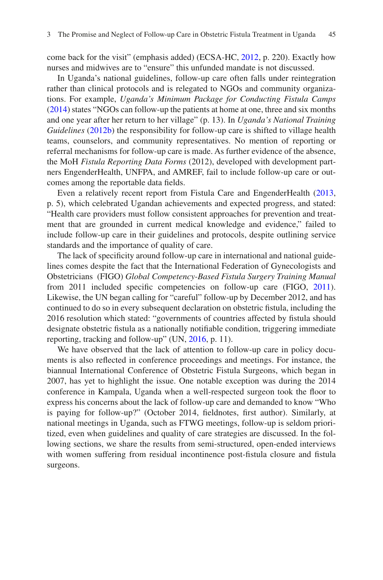come back for the visit" (emphasis added) (ECSA-HC, [2012,](#page-16-12) p. 220). Exactly how nurses and midwives are to "ensure" this unfunded mandate is not discussed.

In Uganda's national guidelines, follow-up care often falls under reintegration rather than clinical protocols and is relegated to NGOs and community organizations. For example, *Uganda's Minimum Package for Conducting Fistula Camps* [\(2014](#page-17-11)) states "NGOs can follow-up the patients at home at one, three and six months and one year after her return to her village" (p. 13). In *Uganda's National Training Guidelines* [\(2012b](#page-17-13)) the responsibility for follow-up care is shifted to village health teams, counselors, and community representatives. No mention of reporting or referral mechanisms for follow-up care is made. As further evidence of the absence, the MoH *Fistula Reporting Data Forms* (2012), developed with development partners EngenderHealth, UNFPA, and AMREF, fail to include follow-up care or outcomes among the reportable data felds.

Even a relatively recent report from Fistula Care and EngenderHealth ([2013,](#page-16-11) p. 5), which celebrated Ugandan achievements and expected progress, and stated: "Health care providers must follow consistent approaches for prevention and treatment that are grounded in current medical knowledge and evidence," failed to include follow-up care in their guidelines and protocols, despite outlining service standards and the importance of quality of care.

The lack of specifcity around follow-up care in international and national guidelines comes despite the fact that the International Federation of Gynecologists and Obstetricians (FIGO) *Global Competency-Based Fistula Surgery Training Manual* from 2011 included specifc competencies on follow-up care (FIGO, [2011\)](#page-16-13). Likewise, the UN began calling for "careful" follow-up by December 2012, and has continued to do so in every subsequent declaration on obstetric fstula, including the 2016 resolution which stated: "governments of countries affected by fstula should designate obstetric fstula as a nationally notifable condition, triggering immediate reporting, tracking and follow-up" (UN, [2016,](#page-18-11) p. 11).

We have observed that the lack of attention to follow-up care in policy documents is also refected in conference proceedings and meetings. For instance, the biannual International Conference of Obstetric Fistula Surgeons, which began in 2007, has yet to highlight the issue. One notable exception was during the 2014 conference in Kampala, Uganda when a well-respected surgeon took the foor to express his concerns about the lack of follow-up care and demanded to know "Who is paying for follow-up?" (October 2014, feldnotes, frst author). Similarly, at national meetings in Uganda, such as FTWG meetings, follow-up is seldom prioritized, even when guidelines and quality of care strategies are discussed. In the following sections, we share the results from semi-structured, open-ended interviews with women suffering from residual incontinence post-fistula closure and fistula surgeons.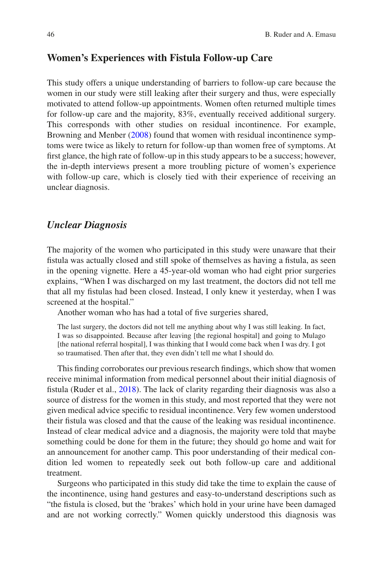## **Women's Experiences with Fistula Follow-up Care**

This study offers a unique understanding of barriers to follow-up care because the women in our study were still leaking after their surgery and thus, were especially motivated to attend follow-up appointments. Women often returned multiple times for follow-up care and the majority, 83%, eventually received additional surgery. This corresponds with other studies on residual incontinence. For example, Browning and Menber [\(2008](#page-15-14)) found that women with residual incontinence symptoms were twice as likely to return for follow-up than women free of symptoms. At frst glance, the high rate of follow-up in this study appears to be a success; however, the in-depth interviews present a more troubling picture of women's experience with follow-up care, which is closely tied with their experience of receiving an unclear diagnosis.

#### *Unclear Diagnosis*

The majority of the women who participated in this study were unaware that their fistula was actually closed and still spoke of themselves as having a fistula, as seen in the opening vignette. Here a 45-year-old woman who had eight prior surgeries explains, "When I was discharged on my last treatment, the doctors did not tell me that all my fstulas had been closed. Instead, I only knew it yesterday, when I was screened at the hospital."

Another woman who has had a total of fve surgeries shared,

The last surgery, the doctors did not tell me anything about why I was still leaking. In fact, I was so disappointed. Because after leaving [the regional hospital] and going to Mulago [the national referral hospital], I was thinking that I would come back when I was dry. I got so traumatised. Then after that, they even didn't tell me what I should do*.*

This fnding corroborates our previous research fndings, which show that women receive minimal information from medical personnel about their initial diagnosis of fstula (Ruder et al., [2018](#page-17-7)). The lack of clarity regarding their diagnosis was also a source of distress for the women in this study, and most reported that they were not given medical advice specifc to residual incontinence. Very few women understood their fstula was closed and that the cause of the leaking was residual incontinence. Instead of clear medical advice and a diagnosis, the majority were told that maybe something could be done for them in the future; they should go home and wait for an announcement for another camp. This poor understanding of their medical condition led women to repeatedly seek out both follow-up care and additional treatment.

Surgeons who participated in this study did take the time to explain the cause of the incontinence, using hand gestures and easy-to-understand descriptions such as "the fstula is closed, but the 'brakes' which hold in your urine have been damaged and are not working correctly." Women quickly understood this diagnosis was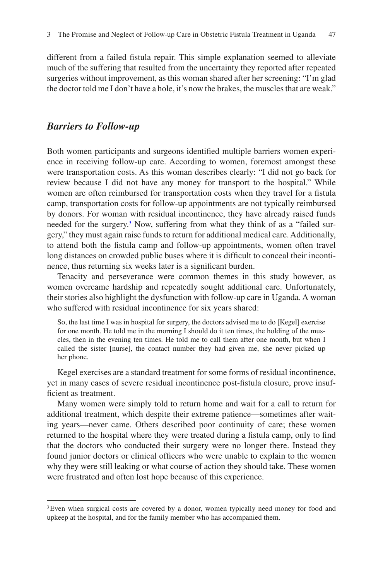different from a failed fstula repair. This simple explanation seemed to alleviate much of the suffering that resulted from the uncertainty they reported after repeated surgeries without improvement, as this woman shared after her screening: "I'm glad the doctor told me I don't have a hole, it's now the brakes, the muscles that are weak."

#### *Barriers to Follow-up*

Both women participants and surgeons identifed multiple barriers women experience in receiving follow-up care. According to women, foremost amongst these were transportation costs. As this woman describes clearly: "I did not go back for review because I did not have any money for transport to the hospital." While women are often reimbursed for transportation costs when they travel for a fstula camp, transportation costs for follow-up appointments are not typically reimbursed by donors. For woman with residual incontinence, they have already raised funds needed for the surgery.<sup>[3](#page-10-0)</sup> Now, suffering from what they think of as a "failed surgery," they must again raise funds to return for additional medical care. Additionally, to attend both the fstula camp and follow-up appointments, women often travel long distances on crowded public buses where it is diffcult to conceal their incontinence, thus returning six weeks later is a signifcant burden.

Tenacity and perseverance were common themes in this study however, as women overcame hardship and repeatedly sought additional care. Unfortunately, their stories also highlight the dysfunction with follow-up care in Uganda. A woman who suffered with residual incontinence for six years shared:

So, the last time I was in hospital for surgery, the doctors advised me to do [Kegel] exercise for one month. He told me in the morning I should do it ten times, the holding of the muscles, then in the evening ten times. He told me to call them after one month, but when I called the sister [nurse], the contact number they had given me, she never picked up her phone*.*

Kegel exercises are a standard treatment for some forms of residual incontinence, yet in many cases of severe residual incontinence post-fstula closure, prove insufficient as treatment.

Many women were simply told to return home and wait for a call to return for additional treatment, which despite their extreme patience—sometimes after waiting years—never came. Others described poor continuity of care; these women returned to the hospital where they were treated during a fstula camp, only to fnd that the doctors who conducted their surgery were no longer there. Instead they found junior doctors or clinical officers who were unable to explain to the women why they were still leaking or what course of action they should take. These women were frustrated and often lost hope because of this experience.

<span id="page-10-0"></span><sup>&</sup>lt;sup>3</sup>Even when surgical costs are covered by a donor, women typically need money for food and upkeep at the hospital, and for the family member who has accompanied them.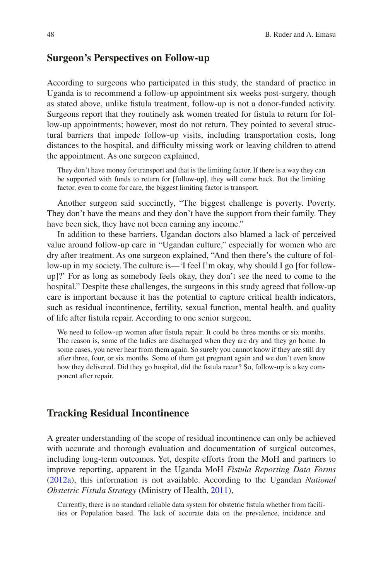#### **Surgeon's Perspectives on Follow-up**

According to surgeons who participated in this study, the standard of practice in Uganda is to recommend a follow-up appointment six weeks post-surgery, though as stated above, unlike fstula treatment, follow-up is not a donor-funded activity. Surgeons report that they routinely ask women treated for fstula to return for follow-up appointments; however, most do not return. They pointed to several structural barriers that impede follow-up visits, including transportation costs, long distances to the hospital, and diffculty missing work or leaving children to attend the appointment. As one surgeon explained,

They don't have money for transport and that is the limiting factor. If there is a way they can be supported with funds to return for [follow-up], they will come back. But the limiting factor, even to come for care, the biggest limiting factor is transport*.*

Another surgeon said succinctly, "The biggest challenge is poverty. Poverty. They don't have the means and they don't have the support from their family. They have been sick, they have not been earning any income."

In addition to these barriers, Ugandan doctors also blamed a lack of perceived value around follow-up care in "Ugandan culture," especially for women who are dry after treatment. As one surgeon explained, "And then there's the culture of follow-up in my society. The culture is—'I feel I'm okay, why should I go [for followup]?' For as long as somebody feels okay, they don't see the need to come to the hospital." Despite these challenges, the surgeons in this study agreed that follow-up care is important because it has the potential to capture critical health indicators, such as residual incontinence, fertility, sexual function, mental health, and quality of life after fstula repair. According to one senior surgeon,

We need to follow-up women after fistula repair. It could be three months or six months. The reason is, some of the ladies are discharged when they are dry and they go home. In some cases, you never hear from them again. So surely you cannot know if they are still dry after three, four, or six months. Some of them get pregnant again and we don't even know how they delivered. Did they go hospital, did the fstula recur? So, follow-up is a key component after repair*.*

#### **Tracking Residual Incontinence**

A greater understanding of the scope of residual incontinence can only be achieved with accurate and thorough evaluation and documentation of surgical outcomes, including long-term outcomes. Yet, despite efforts from the MoH and partners to improve reporting, apparent in the Uganda MoH *Fistula Reporting Data Forms*  [\(2012a\)](#page-17-14), this information is not available. According to the Ugandan *National Obstetric Fistula Strategy* (Ministry of Health, [2011](#page-17-12)),

Currently, there is no standard reliable data system for obstetric fstula whether from facilities or Population based. The lack of accurate data on the prevalence, incidence and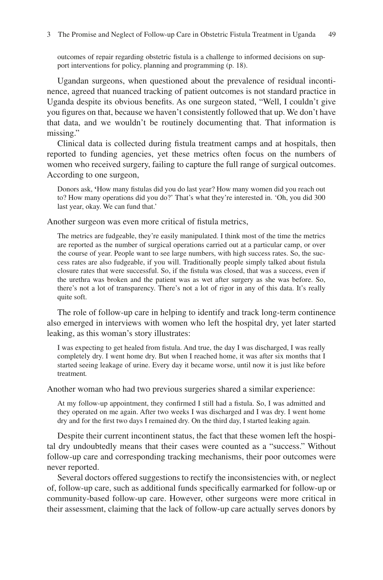outcomes of repair regarding obstetric fstula is a challenge to informed decisions on support interventions for policy, planning and programming (p. 18).

Ugandan surgeons, when questioned about the prevalence of residual incontinence, agreed that nuanced tracking of patient outcomes is not standard practice in Uganda despite its obvious benefts. As one surgeon stated, "Well, I couldn't give you fgures on that, because we haven't consistently followed that up. We don't have that data, and we wouldn't be routinely documenting that. That information is missing."

Clinical data is collected during fstula treatment camps and at hospitals, then reported to funding agencies, yet these metrics often focus on the numbers of women who received surgery, failing to capture the full range of surgical outcomes. According to one surgeon,

Donors ask, **'**How many fstulas did you do last year? How many women did you reach out to? How many operations did you do?' That's what they're interested in. 'Oh, you did 300 last year, okay. We can fund that.'

Another surgeon was even more critical of fstula metrics,

The metrics are fudgeable, they're easily manipulated. I think most of the time the metrics are reported as the number of surgical operations carried out at a particular camp, or over the course of year. People want to see large numbers, with high success rates. So, the success rates are also fudgeable, if you will. Traditionally people simply talked about fstula closure rates that were successful. So, if the fstula was closed, that was a success, even if the urethra was broken and the patient was as wet after surgery as she was before. So, there's not a lot of transparency. There's not a lot of rigor in any of this data. It's really quite soft.

The role of follow-up care in helping to identify and track long-term continence also emerged in interviews with women who left the hospital dry, yet later started leaking, as this woman's story illustrates:

I was expecting to get healed from fstula. And true, the day I was discharged, I was really completely dry. I went home dry. But when I reached home, it was after six months that I started seeing leakage of urine. Every day it became worse, until now it is just like before treatment*.*

Another woman who had two previous surgeries shared a similar experience:

At my follow-up appointment, they confrmed I still had a fstula. So, I was admitted and they operated on me again. After two weeks I was discharged and I was dry. I went home dry and for the frst two days I remained dry. On the third day, I started leaking again*.*

Despite their current incontinent status, the fact that these women left the hospital dry undoubtedly means that their cases were counted as a "success." Without follow-up care and corresponding tracking mechanisms, their poor outcomes were never reported.

Several doctors offered suggestions to rectify the inconsistencies with, or neglect of, follow-up care, such as additional funds specifcally earmarked for follow-up or community-based follow-up care. However, other surgeons were more critical in their assessment, claiming that the lack of follow-up care actually serves donors by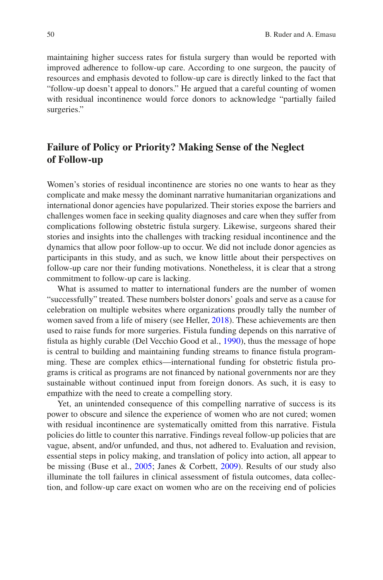maintaining higher success rates for fstula surgery than would be reported with improved adherence to follow-up care. According to one surgeon, the paucity of resources and emphasis devoted to follow-up care is directly linked to the fact that "follow-up doesn't appeal to donors." He argued that a careful counting of women with residual incontinence would force donors to acknowledge "partially failed surgeries."

## **Failure of Policy or Priority? Making Sense of the Neglect of Follow-up**

Women's stories of residual incontinence are stories no one wants to hear as they complicate and make messy the dominant narrative humanitarian organizations and international donor agencies have popularized. Their stories expose the barriers and challenges women face in seeking quality diagnoses and care when they suffer from complications following obstetric fstula surgery. Likewise, surgeons shared their stories and insights into the challenges with tracking residual incontinence and the dynamics that allow poor follow-up to occur. We did not include donor agencies as participants in this study, and as such, we know little about their perspectives on follow-up care nor their funding motivations. Nonetheless, it is clear that a strong commitment to follow-up care is lacking.

What is assumed to matter to international funders are the number of women "successfully" treated. These numbers bolster donors' goals and serve as a cause for celebration on multiple websites where organizations proudly tally the number of women saved from a life of misery (see Heller, [2018\)](#page-16-14). These achievements are then used to raise funds for more surgeries. Fistula funding depends on this narrative of fstula as highly curable (Del Vecchio Good et al., [1990](#page-15-15)), thus the message of hope is central to building and maintaining funding streams to fnance fstula programming. These are complex ethics—international funding for obstetric fstula programs is critical as programs are not fnanced by national governments nor are they sustainable without continued input from foreign donors. As such, it is easy to empathize with the need to create a compelling story.

Yet, an unintended consequence of this compelling narrative of success is its power to obscure and silence the experience of women who are not cured; women with residual incontinence are systematically omitted from this narrative. Fistula policies do little to counter this narrative. Findings reveal follow-up policies that are vague, absent, and/or unfunded, and thus, not adhered to. Evaluation and revision, essential steps in policy making, and translation of policy into action, all appear to be missing (Buse et al., [2005;](#page-15-9) Janes & Corbett, [2009](#page-16-15)). Results of our study also illuminate the toll failures in clinical assessment of fstula outcomes, data collection, and follow-up care exact on women who are on the receiving end of policies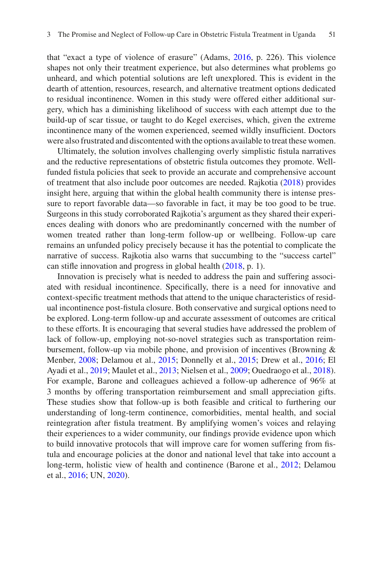that "exact a type of violence of erasure" (Adams, [2016](#page-15-16), p. 226). This violence shapes not only their treatment experience, but also determines what problems go unheard, and which potential solutions are left unexplored. This is evident in the dearth of attention, resources, research, and alternative treatment options dedicated to residual incontinence. Women in this study were offered either additional surgery, which has a diminishing likelihood of success with each attempt due to the build-up of scar tissue, or taught to do Kegel exercises, which, given the extreme incontinence many of the women experienced, seemed wildly insuffcient. Doctors were also frustrated and discontented with the options available to treat these women.

Ultimately, the solution involves challenging overly simplistic fistula narratives and the reductive representations of obstetric fstula outcomes they promote. Wellfunded fstula policies that seek to provide an accurate and comprehensive account of treatment that also include poor outcomes are needed. Rajkotia [\(2018](#page-17-15)) provides insight here, arguing that within the global health community there is intense pressure to report favorable data—so favorable in fact, it may be too good to be true. Surgeons in this study corroborated Rajkotia's argument as they shared their experiences dealing with donors who are predominantly concerned with the number of women treated rather than long-term follow-up or wellbeing. Follow-up care remains an unfunded policy precisely because it has the potential to complicate the narrative of success. Rajkotia also warns that succumbing to the "success cartel" can stife innovation and progress in global health [\(2018](#page-17-15), p. 1).

Innovation is precisely what is needed to address the pain and suffering associated with residual incontinence. Specifcally, there is a need for innovative and context-specifc treatment methods that attend to the unique characteristics of residual incontinence post-fstula closure. Both conservative and surgical options need to be explored. Long-term follow-up and accurate assessment of outcomes are critical to these efforts. It is encouraging that several studies have addressed the problem of lack of follow-up, employing not-so-novel strategies such as transportation reimbursement, follow-up via mobile phone, and provision of incentives (Browning & Menber, [2008](#page-15-14); Delamou et al., [2015;](#page-15-17) Donnelly et al., [2015;](#page-15-8) Drew et al., [2016;](#page-16-3) El Ayadi et al., [2019](#page-16-4); Maulet et al., [2013;](#page-16-16) Nielsen et al., [2009](#page-17-16); Ouedraogo et al., [2018\)](#page-17-5). For example, Barone and colleagues achieved a follow-up adherence of 96% at 3 months by offering transportation reimbursement and small appreciation gifts. These studies show that follow-up is both feasible and critical to furthering our understanding of long-term continence, comorbidities, mental health, and social reintegration after fstula treatment. By amplifying women's voices and relaying their experiences to a wider community, our fndings provide evidence upon which to build innovative protocols that will improve care for women suffering from fstula and encourage policies at the donor and national level that take into account a long-term, holistic view of health and continence (Barone et al., [2012](#page-15-4); Delamou et al., [2016](#page-15-5); UN, [2020](#page-18-12)).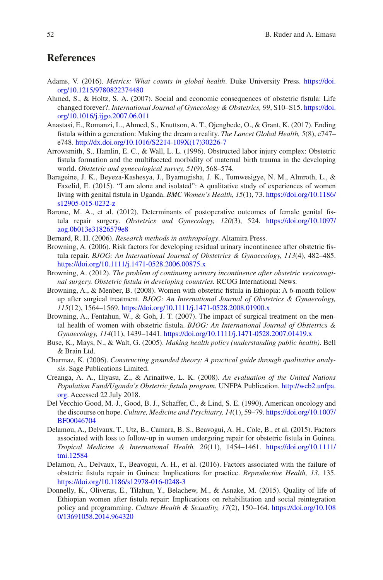## **References**

- <span id="page-15-16"></span>Adams, V. (2016). *Metrics: What counts in global health*. Duke University Press. [https://doi.](https://doi.org/10.1215/9780822374480) [org/10.1215/9780822374480](https://doi.org/10.1215/9780822374480)
- <span id="page-15-2"></span>Ahmed, S., & Holtz, S. A. (2007). Social and economic consequences of obstetric fstula: Life changed forever?. *International Journal of Gynecology & Obstetrics, 99*, S10–S15. [https://doi.](https://doi.org/10.1016/j.ijgo.2007.06.011) [org/10.1016/j.ijgo.2007.06.011](https://doi.org/10.1016/j.ijgo.2007.06.011)
- <span id="page-15-12"></span>Anastasi, E., Romanzi, L., Ahmed, S., Knuttson, A. T., Ojengbede, O., & Grant, K. (2017). Ending fstula within a generation: Making the dream a reality. *The Lancet Global Health, 5*(8), e747– e748. [http://dx.doi.org/10.1016/S2214-109X\(17\)30226-7](http://dx.doi.org/10.1016/S2214-109X(17)30226-7)
- <span id="page-15-0"></span>Arrowsmith, S., Hamlin, E. C., & Wall, L. L. (1996). Obstructed labor injury complex: Obstetric fstula formation and the multifaceted morbidity of maternal birth trauma in the developing world. *Obstetric and gynecological survey, 51*(9), 568–574.
- <span id="page-15-3"></span>Barageine, J. K., Beyeza-Kashesya, J., Byamugisha, J. K., Tumwesigye, N. M., Almroth, L., & Faxelid, E. (2015). "I am alone and isolated": A qualitative study of experiences of women living with genital fstula in Uganda. *BMC Women's Health, 15*(1), 73. [https://doi.org/10.1186/](https://doi.org/10.1186/s12905-015-0232-z) [s12905-015-0232-z](https://doi.org/10.1186/s12905-015-0232-z)
- <span id="page-15-4"></span>Barone, M. A., et al. (2012). Determinants of postoperative outcomes of female genital fstula repair surgery. *Obstetrics and Gynecology, 120*(3), 524. [https://doi.org/10.1097/](https://doi.org/10.1097/aog.0b013e31826579e8) [aog.0b013e31826579e8](https://doi.org/10.1097/aog.0b013e31826579e8)
- <span id="page-15-10"></span>Bernard, R. H. (2006). *Research methods in anthropology*. Altamira Press.
- <span id="page-15-6"></span>Browning, A. (2006). Risk factors for developing residual urinary incontinence after obstetric fstula repair. *BJOG: An International Journal of Obstetrics & Gynaecology, 113*(4), 482–485. <https://doi.org/10.1111/j.1471-0528.2006.00875.x>
- <span id="page-15-7"></span>Browning, A. (2012). *The problem of continuing urinary incontinence after obstetric vesicovaginal surgery. Obstetric fstula in developing countries.* RCOG International News*.*
- <span id="page-15-14"></span>Browning, A., & Menber, B. (2008). Women with obstetric fstula in Ethiopia: A 6-month follow up after surgical treatment. *BJOG: An International Journal of Obstetrics & Gynaecology, 115*(12), 1564–1569. <https://doi.org/10.1111/j.1471-0528.2008.01900.x>
- <span id="page-15-1"></span>Browning, A., Fentahun, W., & Goh, J. T. (2007). The impact of surgical treatment on the mental health of women with obstetric fstula. *BJOG: An International Journal of Obstetrics & Gynaecology, 114*(11), 1439–1441.<https://doi.org/10.1111/j.1471-0528.2007.01419.x>
- <span id="page-15-9"></span>Buse, K., Mays, N., & Walt, G. (2005). *Making health policy (understanding public health)*. Bell & Brain Ltd.
- <span id="page-15-11"></span>Charmaz, K. (2006). *Constructing grounded theory: A practical guide through qualitative analysis*. Sage Publications Limited.
- <span id="page-15-13"></span>Creanga, A. A., Iliyasu, Z., & Arinaitwe, L. K. (2008). *An evaluation of the United Nations Population Fund/Uganda's Obstetric fstula program*. UNFPA Publication. [http://web2.unfpa.](http://web2.unfpa.org) [org](http://web2.unfpa.org). Accessed 22 July 2018.
- <span id="page-15-15"></span>Del Vecchio Good, M.-J., Good, B. J., Schaffer, C., & Lind, S. E. (1990). American oncology and the discourse on hope. *Culture, Medicine and Psychiatry, 14*(1), 59–79. [https://doi.org/10.1007/](https://doi.org/10.1007/BF00046704) [BF00046704](https://doi.org/10.1007/BF00046704)
- <span id="page-15-17"></span>Delamou, A., Delvaux, T., Utz, B., Camara, B. S., Beavogui, A. H., Cole, B., et al. (2015). Factors associated with loss to follow-up in women undergoing repair for obstetric fstula in Guinea. *Tropical Medicine & International Health, 20*(11), 1454–1461. [https://doi.org/10.1111/](https://doi.org/10.1111/tmi.12584) [tmi.12584](https://doi.org/10.1111/tmi.12584)
- <span id="page-15-5"></span>Delamou, A., Delvaux, T., Beavogui, A. H., et al. (2016). Factors associated with the failure of obstetric fstula repair in Guinea: Implications for practice. *Reproductive Health, 13*, 135. <https://doi.org/10.1186/s12978-016-0248-3>
- <span id="page-15-8"></span>Donnelly, K., Oliveras, E., Tilahun, Y., Belachew, M., & Asnake, M. (2015). Quality of life of Ethiopian women after fstula repair: Implications on rehabilitation and social reintegration policy and programming. *Culture Health & Sexuality, 17*(2), 150–164. [https://doi.org/10.108](https://doi.org/10.1080/13691058.2014.964320) [0/13691058.2014.964320](https://doi.org/10.1080/13691058.2014.964320)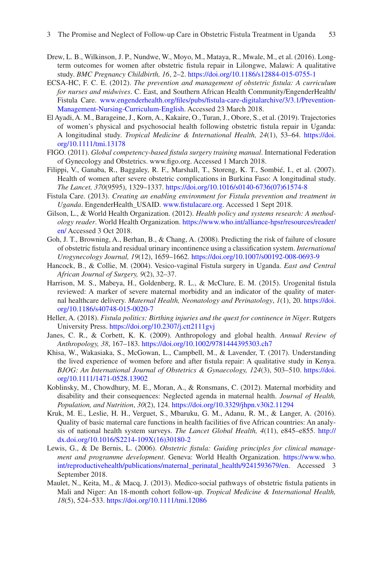- <span id="page-16-3"></span>Drew, L. B., Wilkinson, J. P., Nundwe, W., Moyo, M., Mataya, R., Mwale, M., et al. (2016). Longterm outcomes for women after obstetric fstula repair in Lilongwe, Malawi: A qualitative study. *BMC Pregnancy Childbirth, 16*, 2–2. <https://doi.org/10.1186/s12884-015-0755-1>
- <span id="page-16-12"></span>ECSA-HC, F. C. E. (2012). *The prevention and management of obstetric fstula: A curriculum for nurses and midwives*. C. East, and Southern African Health Community/EngenderHealth/ Fistula Care. [www.engenderhealth.org/fles/pubs/fstula-care-digitalarchive/3/3.1/Prevention-](https://www.engenderhealth.org/files/pubs/fistula-care-digitalarchive/3/3.1/Prevention-Management-Nursing-Curriculum-English)[Management-Nursing-Curriculum-English](https://www.engenderhealth.org/files/pubs/fistula-care-digitalarchive/3/3.1/Prevention-Management-Nursing-Curriculum-English). Accessed 23 March 2018.
- <span id="page-16-4"></span>El Ayadi, A. M., Barageine, J., Korn, A., Kakaire, O., Turan, J., Obore, S., et al. (2019). Trajectories of women's physical and psychosocial health following obstetric fstula repair in Uganda: A longitudinal study. *Tropical Medicine & International Health, 24*(1), 53–64. [https://doi.](https://doi.org/10.1111/tmi.13178) [org/10.1111/tmi.13178](https://doi.org/10.1111/tmi.13178)
- <span id="page-16-13"></span>FIGO. (2011). *Global competency-based fstula surgery training manual*. International Federation of Gynecology and Obstetrics. www.fgo.org. Accessed 1 March 2018.
- <span id="page-16-1"></span>Filippi, V., Ganaba, R., Baggaley, R. F., Marshall, T., Storeng, K. T., Sombié, I., et al. (2007). Health of women after severe obstetric complications in Burkina Faso: A longitudinal study. *The Lancet, 370*(9595), 1329–1337. [https://doi.org/10.1016/s0140-6736\(07\)61574-8](https://doi.org/10.1016/s0140-6736(07)61574-8)
- <span id="page-16-11"></span>Fistula Care. (2013). *Creating an enabling environment for Fistula prevention and treatment in Uganda*. EngenderHealth\_USAID. [www.fstulacare.org](http://www.fistulacare.org). Accessed 1 Sept 2018.
- <span id="page-16-10"></span>Gilson, L., & World Health Organization. (2012). *Health policy and systems research: A methodology reader*. World Health Organization. [https://www.who.int/alliance-hpsr/resources/reader/](https://www.who.int/alliance-hpsr/resources/reader/en/) [en/](https://www.who.int/alliance-hpsr/resources/reader/en/) Accessed 3 Oct 2018.
- <span id="page-16-7"></span>Goh, J. T., Browning, A., Berhan, B., & Chang, A. (2008). Predicting the risk of failure of closure of obstetric fstula and residual urinary incontinence using a classifcation system. *International Urogynecology Journal, 19*(12), 1659–1662. <https://doi.org/10.1007/s00192-008-0693-9>
- <span id="page-16-6"></span>Hancock, B., & Collie, M. (2004). Vesico-vaginal Fistula surgery in Uganda. *East and Central African Journal of Surgery, 9*(2), 32–37.
- <span id="page-16-8"></span>Harrison, M. S., Mabeya, H., Goldenberg, R. L., & McClure, E. M. (2015). Urogenital fstula reviewed: A marker of severe maternal morbidity and an indicator of the quality of maternal healthcare delivery. *Maternal Health, Neonatology and Perinatology*, *1*(1), 20. [https://doi.](https://doi.org/10.1186/s40748-015-0020-7) [org/10.1186/s40748-015-0020-7](https://doi.org/10.1186/s40748-015-0020-7)
- <span id="page-16-14"></span>Heller, A. (2018). *Fistula politics: Birthing injuries and the quest for continence in Niger*. Rutgers University Press. <https://doi.org/10.2307/j.ctt2111gvj>
- <span id="page-16-15"></span>Janes, C. R., & Corbett, K. K. (2009). Anthropology and global health. *Annual Review of Anthropology, 38*, 167–183. <https://doi.org/10.1002/9781444395303.ch7>
- <span id="page-16-2"></span>Khisa, W., Wakasiaka, S., McGowan, L., Campbell, M., & Lavender, T. (2017). Understanding the lived experience of women before and after fstula repair: A qualitative study in Kenya. *BJOG: An International Journal of Obstetrics & Gynaecology, 124*(3), 503–510. [https://doi.](https://doi.org/10.1111/1471-0528.13902) [org/10.1111/1471-0528.13902](https://doi.org/10.1111/1471-0528.13902)
- <span id="page-16-0"></span>Koblinsky, M., Chowdhury, M. E., Moran, A., & Ronsmans, C. (2012). Maternal morbidity and disability and their consequences: Neglected agenda in maternal health. *Journal of Health, Population, and Nutrition*, *30*(2), 124.<https://doi.org/10.3329/jhpn.v30i2.11294>
- <span id="page-16-5"></span>Kruk, M. E., Leslie, H. H., Verguet, S., Mbaruku, G. M., Adanu, R. M., & Langer, A. (2016). Quality of basic maternal care functions in health facilities of fve African countries: An analysis of national health system surveys. *The Lancet Global Health, 4*(11), e845–e855. [http://](http://dx.doi.org/10.1016/S2214-109X(16)30180-2) [dx.doi.org/10.1016/S2214-109X\(16\)30180-2](http://dx.doi.org/10.1016/S2214-109X(16)30180-2)
- <span id="page-16-9"></span>Lewis, G., & De Bernis, L. (2006). *Obstetric fstula: Guiding principles for clinical management and programme development*. Geneva: World Health Organization. [https://www.who.](https://www.who.int/reproductivehealth/publications/maternal_perinatal_health/9241593679/en) [int/reproductivehealth/publications/maternal\\_perinatal\\_health/9241593679/en.](https://www.who.int/reproductivehealth/publications/maternal_perinatal_health/9241593679/en) Accessed 3 September 2018.
- <span id="page-16-16"></span>Maulet, N., Keita, M., & Macq, J. (2013). Medico-social pathways of obstetric fstula patients in Mali and Niger: An 18-month cohort follow-up. *Tropical Medicine & International Health, 18*(5), 524–533. <https://doi.org/10.1111/tmi.12086>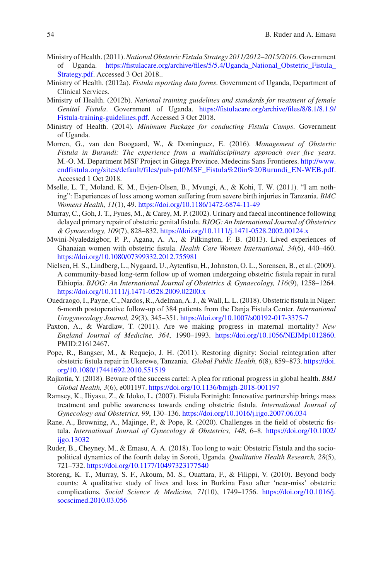- <span id="page-17-12"></span>Ministry of Health. (2011). *National Obstetric Fistula Strategy 2011/2012–2015/2016*. Government of Uganda. [https://fstulacare.org/archive/fles/5/5.4/Uganda\\_National\\_Obstetric\\_Fistula\\_](https://fistulacare.org/archive/files/5/5.4/Uganda_National_Obstetric_Fistula_Strategy.pdf) [Strategy.pdf.](https://fistulacare.org/archive/files/5/5.4/Uganda_National_Obstetric_Fistula_Strategy.pdf) Accessed 3 Oct 2018..
- <span id="page-17-14"></span>Ministry of Health. (2012a). *Fistula reporting data forms*. Government of Uganda, Department of Clinical Services.
- <span id="page-17-13"></span>Ministry of Health. (2012b). *National training guidelines and standards for treatment of female Genital Fistula*. Government of Uganda. [https://fstulacare.org/archive/fles/8/8.1/8.1.9/](https://fistulacare.org/archive/files/8/8.1/8.1.9/Fistula-training-guidelines.pdf) [Fistula-training-guidelines.pdf.](https://fistulacare.org/archive/files/8/8.1/8.1.9/Fistula-training-guidelines.pdf) Accessed 3 Oct 2018.
- <span id="page-17-11"></span>Ministry of Health. (2014). *Minimum Package for conducting Fistula Camps*. Government of Uganda.
- <span id="page-17-10"></span>Morren, G., van den Boogaard, W., & Dominguez, E. (2016). *Management of Obstertic Fistula in Burundi: The experience from a multidisciplinary approach over fve years*. M.-O. M. Department MSF Project in Gitega Province. Medecins Sans Frontieres. [http://www.](http://www.endfistula.org/sites/default/files/pub-pdf/MSF_Fistula in Burundi_EN-WEB.pdf) [endfistula.org/sites/default/files/pub-pdf/MSF\\_Fistula%20in%20Burundi\\_EN-WEB.pdf](http://www.endfistula.org/sites/default/files/pub-pdf/MSF_Fistula in Burundi_EN-WEB.pdf). Accessed 1 Oct 2018.
- <span id="page-17-2"></span>Mselle, L. T., Moland, K. M., Evjen-Olsen, B., Mvungi, A., & Kohi, T. W. (2011). "I am nothing": Experiences of loss among women suffering from severe birth injuries in Tanzania. *BMC Womens Health, 11*(1), 49. <https://doi.org/10.1186/1472-6874-11-49>
- <span id="page-17-8"></span>Murray, C., Goh, J. T., Fynes, M., & Carey, M. P. (2002). Urinary and faecal incontinence following delayed primary repair of obstetric genital fstula. *BJOG: An International Journal of Obstetrics & Gynaecology, 109*(7), 828–832.<https://doi.org/10.1111/j.1471-0528.2002.00124.x>
- <span id="page-17-4"></span>Mwini-Nyaledzigbor, P. P., Agana, A. A., & Pilkington, F. B. (2013). Lived experiences of Ghanaian women with obstetric fstula. *Health Care Women International, 34*(6), 440–460. <https://doi.org/10.1080/07399332.2012.755981>
- <span id="page-17-16"></span>Nielsen, H. S., Lindberg, L., Nygaard, U., Aytenfsu, H., Johnston, O. L., Sorensen, B., et al. (2009). A community-based long-term follow up of women undergoing obstetric fstula repair in rural Ethiopia. *BJOG: An International Journal of Obstetrics & Gynaecology, 116*(9), 1258–1264. <https://doi.org/10.1111/j.1471-0528.2009.02200.x>
- <span id="page-17-5"></span>Ouedraogo, I., Payne, C., Nardos, R., Adelman, A. J., & Wall, L. L. (2018). Obstetric fstula in Niger: 6-month postoperative follow-up of 384 patients from the Danja Fistula Center. *International Urogynecology Journal, 29*(3), 345–351. <https://doi.org/10.1007/s00192-017-3375-7>
- <span id="page-17-0"></span>Paxton, A., & Wardlaw, T. (2011). Are we making progress in maternal mortality? *New England Journal of Medicine, 364*, 1990–1993. <https://doi.org/10.1056/NEJMp1012860>. PMID:21612467.
- <span id="page-17-3"></span>Pope, R., Bangser, M., & Requejo, J. H. (2011). Restoring dignity: Social reintegration after obstetric fstula repair in Ukerewe, Tanzania. *Global Public Health, 6*(8), 859–873. [https://doi.](https://doi.org/10.1080/17441692.2010.551519) [org/10.1080/17441692.2010.551519](https://doi.org/10.1080/17441692.2010.551519)
- <span id="page-17-15"></span>Rajkotia, Y. (2018). Beware of the success cartel: A plea for rational progress in global health. *BMJ Global Health, 3*(6), e001197. <https://doi.org/10.1136/bmjgh-2018-001197>
- <span id="page-17-6"></span>Ramsey, K., Iliyasu, Z., & Idoko, L. (2007). Fistula Fortnight: Innovative partnership brings mass treatment and public awareness towards ending obstetric fstula. *International Journal of Gynecology and Obstetrics, 99*, 130–136.<https://doi.org/10.1016/j.ijgo.2007.06.034>
- <span id="page-17-9"></span>Rane, A., Browning, A., Majinge, P., & Pope, R. (2020). Challenges in the feld of obstetric fstula. *International Journal of Gynecology & Obstetrics, 148*, 6–8. [https://doi.org/10.1002/](https://doi.org/10.1002/ijgo.13032) [ijgo.13032](https://doi.org/10.1002/ijgo.13032)
- <span id="page-17-7"></span>Ruder, B., Cheyney, M., & Emasu, A. A. (2018). Too long to wait: Obstetric Fistula and the sociopolitical dynamics of the fourth delay in Soroti, Uganda. *Qualitative Health Research, 28*(5), 721–732. <https://doi.org/10.1177/10497323177540>
- <span id="page-17-1"></span>Storeng, K. T., Murray, S. F., Akoum, M. S., Ouattara, F., & Filippi, V. (2010). Beyond body counts: A qualitative study of lives and loss in Burkina Faso after 'near-miss' obstetric complications. *Social Science & Medicine, 71*(10), 1749–1756. [https://doi.org/10.1016/j.](https://doi.org/10.1016/j.socscimed.2010.03.056) [socscimed.2010.03.056](https://doi.org/10.1016/j.socscimed.2010.03.056)